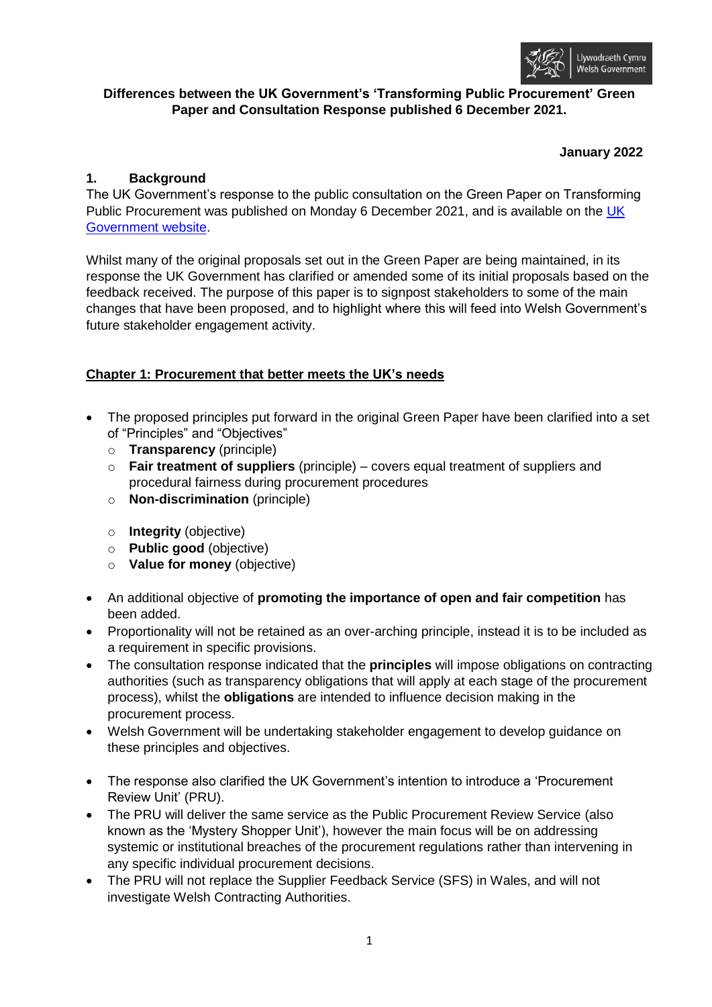

# **Differences between the UK Government's 'Transforming Public Procurement' Green Paper and Consultation Response published 6 December 2021.**

## **January 2022**

# **1. Background**

The UK Government's response to the public consultation on the Green Paper on Transforming Public Procurement was published on Monday 6 December 2021, and is available on the [UK](https://www.gov.uk/government/consultations/green-paper-transforming-public-procurement)  [Government website.](https://www.gov.uk/government/consultations/green-paper-transforming-public-procurement)

Whilst many of the original proposals set out in the Green Paper are being maintained, in its response the UK Government has clarified or amended some of its initial proposals based on the feedback received. The purpose of this paper is to signpost stakeholders to some of the main changes that have been proposed, and to highlight where this will feed into Welsh Government's future stakeholder engagement activity.

# **Chapter 1: Procurement that better meets the UK's needs**

- The proposed principles put forward in the original Green Paper have been clarified into a set of "Principles" and "Objectives"
	- o **Transparency** (principle)
	- o **Fair treatment of suppliers** (principle) covers equal treatment of suppliers and procedural fairness during procurement procedures
	- o **Non-discrimination** (principle)
	- o **Integrity** (objective)
	- o **Public good** (objective)
	- o **Value for money** (objective)
- An additional objective of **promoting the importance of open and fair competition** has been added.
- Proportionality will not be retained as an over-arching principle, instead it is to be included as a requirement in specific provisions.
- The consultation response indicated that the **principles** will impose obligations on contracting authorities (such as transparency obligations that will apply at each stage of the procurement process), whilst the **obligations** are intended to influence decision making in the procurement process.
- Welsh Government will be undertaking stakeholder engagement to develop guidance on these principles and objectives.
- The response also clarified the UK Government's intention to introduce a 'Procurement Review Unit' (PRU).
- The PRU will deliver the same service as the Public Procurement Review Service (also known as the 'Mystery Shopper Unit'), however the main focus will be on addressing systemic or institutional breaches of the procurement regulations rather than intervening in any specific individual procurement decisions.
- The PRU will not replace the Supplier Feedback Service (SFS) in Wales, and will not investigate Welsh Contracting Authorities.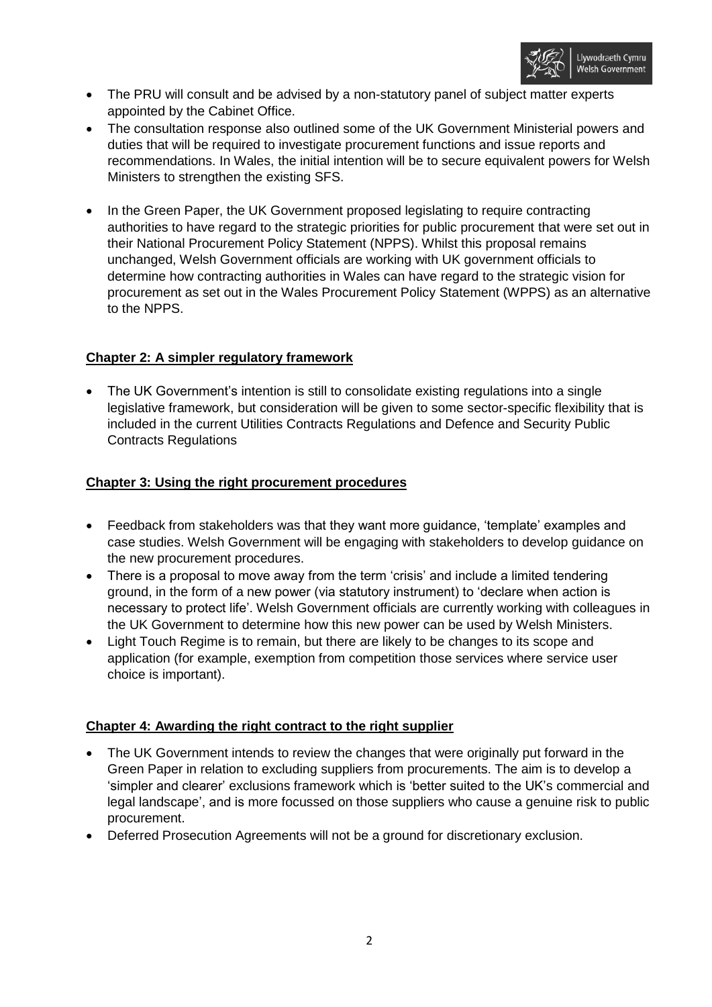

- The PRU will consult and be advised by a non-statutory panel of subject matter experts appointed by the Cabinet Office.
- The consultation response also outlined some of the UK Government Ministerial powers and duties that will be required to investigate procurement functions and issue reports and recommendations. In Wales, the initial intention will be to secure equivalent powers for Welsh Ministers to strengthen the existing SFS.
- In the Green Paper, the UK Government proposed legislating to require contracting authorities to have regard to the strategic priorities for public procurement that were set out in their National Procurement Policy Statement (NPPS). Whilst this proposal remains unchanged, Welsh Government officials are working with UK government officials to determine how contracting authorities in Wales can have regard to the strategic vision for procurement as set out in the Wales Procurement Policy Statement (WPPS) as an alternative to the NPPS.

## **Chapter 2: A simpler regulatory framework**

 The UK Government's intention is still to consolidate existing regulations into a single legislative framework, but consideration will be given to some sector-specific flexibility that is included in the current Utilities Contracts Regulations and Defence and Security Public Contracts Regulations

## **Chapter 3: Using the right procurement procedures**

- Feedback from stakeholders was that they want more guidance, 'template' examples and case studies. Welsh Government will be engaging with stakeholders to develop guidance on the new procurement procedures.
- There is a proposal to move away from the term 'crisis' and include a limited tendering ground, in the form of a new power (via statutory instrument) to 'declare when action is necessary to protect life'. Welsh Government officials are currently working with colleagues in the UK Government to determine how this new power can be used by Welsh Ministers.
- Light Touch Regime is to remain, but there are likely to be changes to its scope and application (for example, exemption from competition those services where service user choice is important).

#### **Chapter 4: Awarding the right contract to the right supplier**

- The UK Government intends to review the changes that were originally put forward in the Green Paper in relation to excluding suppliers from procurements. The aim is to develop a 'simpler and clearer' exclusions framework which is 'better suited to the UK's commercial and legal landscape', and is more focussed on those suppliers who cause a genuine risk to public procurement.
- Deferred Prosecution Agreements will not be a ground for discretionary exclusion.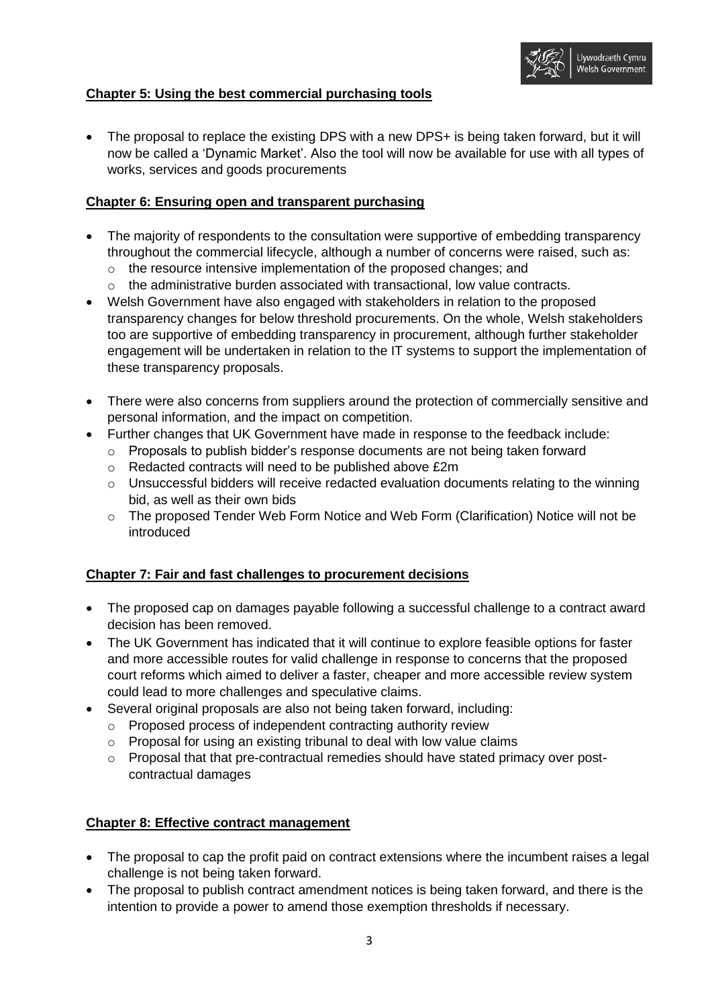

# **Chapter 5: Using the best commercial purchasing tools**

• The proposal to replace the existing DPS with a new DPS+ is being taken forward, but it will now be called a 'Dynamic Market'. Also the tool will now be available for use with all types of works, services and goods procurements

## **Chapter 6: Ensuring open and transparent purchasing**

- The majority of respondents to the consultation were supportive of embedding transparency throughout the commercial lifecycle, although a number of concerns were raised, such as:
	- o the resource intensive implementation of the proposed changes; and
	- $\circ$  the administrative burden associated with transactional, low value contracts.
- Welsh Government have also engaged with stakeholders in relation to the proposed transparency changes for below threshold procurements. On the whole, Welsh stakeholders too are supportive of embedding transparency in procurement, although further stakeholder engagement will be undertaken in relation to the IT systems to support the implementation of these transparency proposals.
- There were also concerns from suppliers around the protection of commercially sensitive and personal information, and the impact on competition.
- Further changes that UK Government have made in response to the feedback include:
	- o Proposals to publish bidder's response documents are not being taken forward
	- o Redacted contracts will need to be published above £2m
	- o Unsuccessful bidders will receive redacted evaluation documents relating to the winning bid, as well as their own bids
	- o The proposed Tender Web Form Notice and Web Form (Clarification) Notice will not be introduced

# **Chapter 7: Fair and fast challenges to procurement decisions**

- The proposed cap on damages payable following a successful challenge to a contract award decision has been removed.
- The UK Government has indicated that it will continue to explore feasible options for faster and more accessible routes for valid challenge in response to concerns that the proposed court reforms which aimed to deliver a faster, cheaper and more accessible review system could lead to more challenges and speculative claims.
- Several original proposals are also not being taken forward, including:
	- o Proposed process of independent contracting authority review
	- o Proposal for using an existing tribunal to deal with low value claims
	- o Proposal that that pre-contractual remedies should have stated primacy over postcontractual damages

#### **Chapter 8: Effective contract management**

- The proposal to cap the profit paid on contract extensions where the incumbent raises a legal challenge is not being taken forward.
- The proposal to publish contract amendment notices is being taken forward, and there is the intention to provide a power to amend those exemption thresholds if necessary.